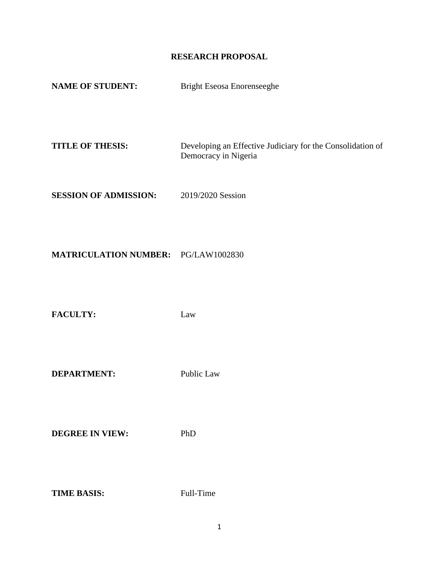# **RESEARCH PROPOSAL**

| <b>Bright Eseosa Enorenseeghe</b>                                                  |
|------------------------------------------------------------------------------------|
|                                                                                    |
| Developing an Effective Judiciary for the Consolidation of<br>Democracy in Nigeria |
| 2019/2020 Session                                                                  |
| <b>MATRICULATION NUMBER: PG/LAW1002830</b>                                         |
|                                                                                    |

**FACULTY:** Law

**DEPARTMENT:** Public Law

**DEGREE IN VIEW:** PhD

**TIME BASIS:** Full-Time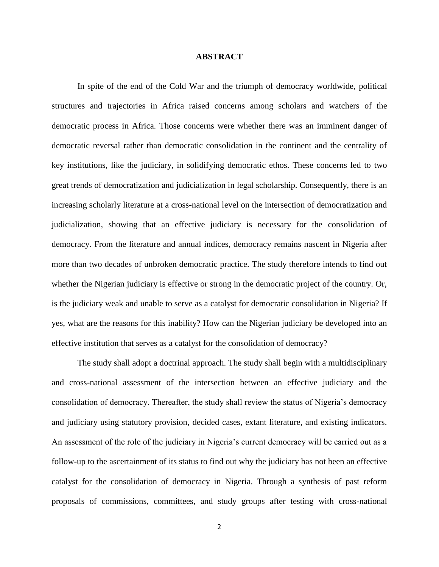#### **ABSTRACT**

In spite of the end of the Cold War and the triumph of democracy worldwide, political structures and trajectories in Africa raised concerns among scholars and watchers of the democratic process in Africa. Those concerns were whether there was an imminent danger of democratic reversal rather than democratic consolidation in the continent and the centrality of key institutions, like the judiciary, in solidifying democratic ethos. These concerns led to two great trends of democratization and judicialization in legal scholarship. Consequently, there is an increasing scholarly literature at a cross-national level on the intersection of democratization and judicialization, showing that an effective judiciary is necessary for the consolidation of democracy. From the literature and annual indices, democracy remains nascent in Nigeria after more than two decades of unbroken democratic practice. The study therefore intends to find out whether the Nigerian judiciary is effective or strong in the democratic project of the country. Or, is the judiciary weak and unable to serve as a catalyst for democratic consolidation in Nigeria? If yes, what are the reasons for this inability? How can the Nigerian judiciary be developed into an effective institution that serves as a catalyst for the consolidation of democracy?

The study shall adopt a doctrinal approach. The study shall begin with a multidisciplinary and cross-national assessment of the intersection between an effective judiciary and the consolidation of democracy. Thereafter, the study shall review the status of Nigeria's democracy and judiciary using statutory provision, decided cases, extant literature, and existing indicators. An assessment of the role of the judiciary in Nigeria's current democracy will be carried out as a follow-up to the ascertainment of its status to find out why the judiciary has not been an effective catalyst for the consolidation of democracy in Nigeria. Through a synthesis of past reform proposals of commissions, committees, and study groups after testing with cross-national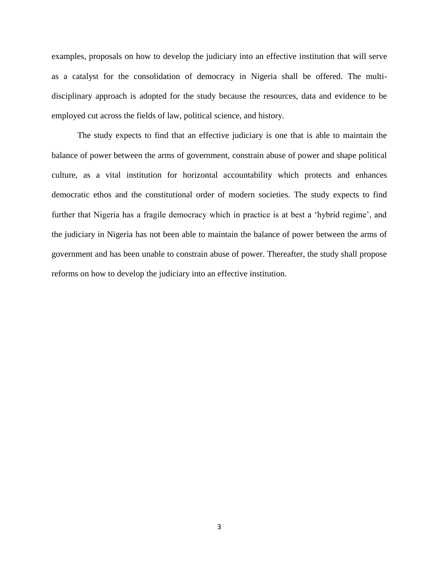examples, proposals on how to develop the judiciary into an effective institution that will serve as a catalyst for the consolidation of democracy in Nigeria shall be offered. The multidisciplinary approach is adopted for the study because the resources, data and evidence to be employed cut across the fields of law, political science, and history.

The study expects to find that an effective judiciary is one that is able to maintain the balance of power between the arms of government, constrain abuse of power and shape political culture, as a vital institution for horizontal accountability which protects and enhances democratic ethos and the constitutional order of modern societies. The study expects to find further that Nigeria has a fragile democracy which in practice is at best a 'hybrid regime', and the judiciary in Nigeria has not been able to maintain the balance of power between the arms of government and has been unable to constrain abuse of power. Thereafter, the study shall propose reforms on how to develop the judiciary into an effective institution.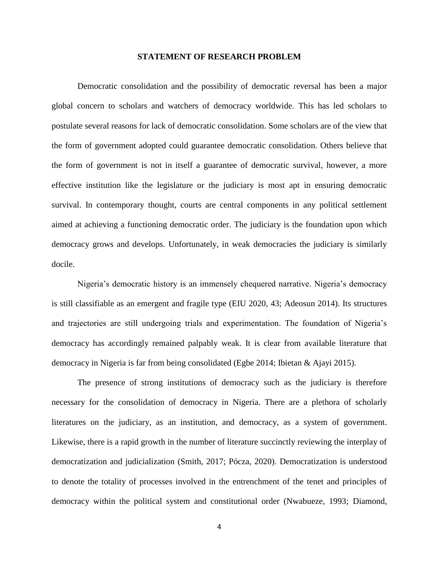#### **STATEMENT OF RESEARCH PROBLEM**

Democratic consolidation and the possibility of democratic reversal has been a major global concern to scholars and watchers of democracy worldwide. This has led scholars to postulate several reasons for lack of democratic consolidation. Some scholars are of the view that the form of government adopted could guarantee democratic consolidation. Others believe that the form of government is not in itself a guarantee of democratic survival, however, a more effective institution like the legislature or the judiciary is most apt in ensuring democratic survival. In contemporary thought, courts are central components in any political settlement aimed at achieving a functioning democratic order. The judiciary is the foundation upon which democracy grows and develops. Unfortunately, in weak democracies the judiciary is similarly docile.

Nigeria's democratic history is an immensely chequered narrative. Nigeria's democracy is still classifiable as an emergent and fragile type (EIU 2020, 43; Adeosun 2014). Its structures and trajectories are still undergoing trials and experimentation. The foundation of Nigeria's democracy has accordingly remained palpably weak. It is clear from available literature that democracy in Nigeria is far from being consolidated (Egbe 2014; Ibietan & Ajayi 2015).

The presence of strong institutions of democracy such as the judiciary is therefore necessary for the consolidation of democracy in Nigeria. There are a plethora of scholarly literatures on the judiciary, as an institution, and democracy, as a system of government. Likewise, there is a rapid growth in the number of literature succinctly reviewing the interplay of democratization and judicialization (Smith, 2017; Pócza, 2020). Democratization is understood to denote the totality of processes involved in the entrenchment of the tenet and principles of democracy within the political system and constitutional order (Nwabueze, 1993; Diamond,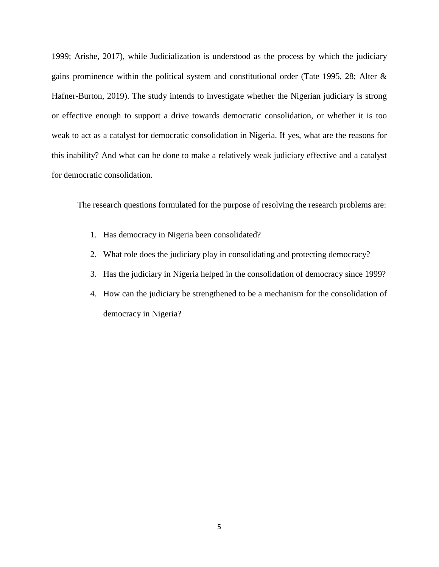1999; Arishe, 2017), while Judicialization is understood as the process by which the judiciary gains prominence within the political system and constitutional order (Tate 1995, 28; Alter & Hafner-Burton, 2019). The study intends to investigate whether the Nigerian judiciary is strong or effective enough to support a drive towards democratic consolidation, or whether it is too weak to act as a catalyst for democratic consolidation in Nigeria. If yes, what are the reasons for this inability? And what can be done to make a relatively weak judiciary effective and a catalyst for democratic consolidation.

The research questions formulated for the purpose of resolving the research problems are:

- 1. Has democracy in Nigeria been consolidated?
- 2. What role does the judiciary play in consolidating and protecting democracy?
- 3. Has the judiciary in Nigeria helped in the consolidation of democracy since 1999?
- 4. How can the judiciary be strengthened to be a mechanism for the consolidation of democracy in Nigeria?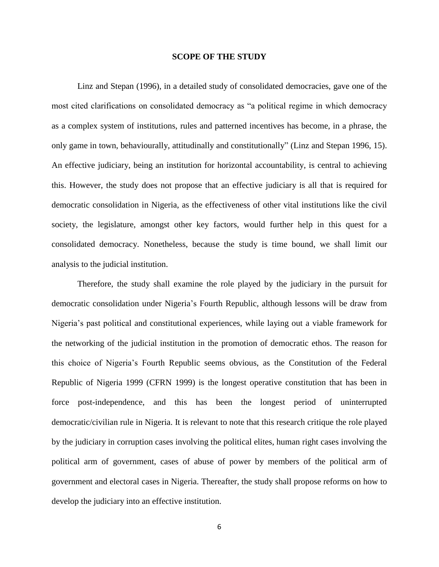#### **SCOPE OF THE STUDY**

Linz and Stepan (1996), in a detailed study of consolidated democracies, gave one of the most cited clarifications on consolidated democracy as "a political regime in which democracy as a complex system of institutions, rules and patterned incentives has become, in a phrase, the only game in town, behaviourally, attitudinally and constitutionally" (Linz and Stepan 1996, 15). An effective judiciary, being an institution for horizontal accountability, is central to achieving this. However, the study does not propose that an effective judiciary is all that is required for democratic consolidation in Nigeria, as the effectiveness of other vital institutions like the civil society, the legislature, amongst other key factors, would further help in this quest for a consolidated democracy. Nonetheless, because the study is time bound, we shall limit our analysis to the judicial institution.

Therefore, the study shall examine the role played by the judiciary in the pursuit for democratic consolidation under Nigeria's Fourth Republic, although lessons will be draw from Nigeria's past political and constitutional experiences, while laying out a viable framework for the networking of the judicial institution in the promotion of democratic ethos. The reason for this choice of Nigeria's Fourth Republic seems obvious, as the Constitution of the Federal Republic of Nigeria 1999 (CFRN 1999) is the longest operative constitution that has been in force post-independence, and this has been the longest period of uninterrupted democratic/civilian rule in Nigeria. It is relevant to note that this research critique the role played by the judiciary in corruption cases involving the political elites, human right cases involving the political arm of government, cases of abuse of power by members of the political arm of government and electoral cases in Nigeria. Thereafter, the study shall propose reforms on how to develop the judiciary into an effective institution.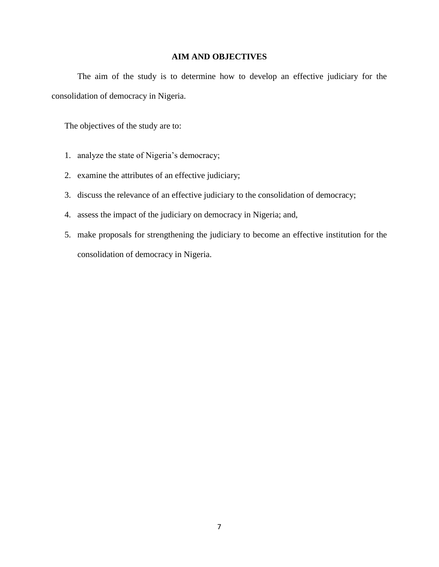## **AIM AND OBJECTIVES**

The aim of the study is to determine how to develop an effective judiciary for the consolidation of democracy in Nigeria.

The objectives of the study are to:

- 1. analyze the state of Nigeria's democracy;
- 2. examine the attributes of an effective judiciary;
- 3. discuss the relevance of an effective judiciary to the consolidation of democracy;
- 4. assess the impact of the judiciary on democracy in Nigeria; and,
- 5. make proposals for strengthening the judiciary to become an effective institution for the consolidation of democracy in Nigeria.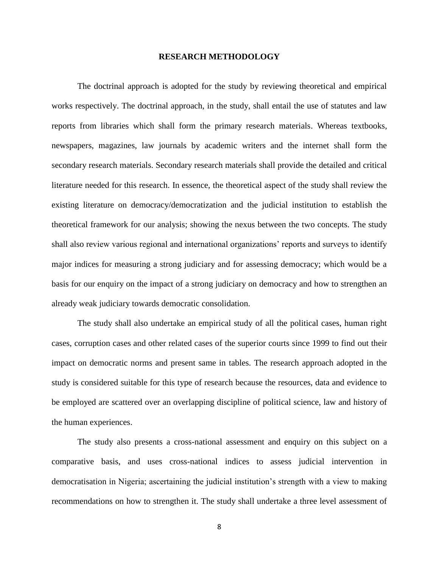#### **RESEARCH METHODOLOGY**

The doctrinal approach is adopted for the study by reviewing theoretical and empirical works respectively. The doctrinal approach, in the study, shall entail the use of statutes and law reports from libraries which shall form the primary research materials. Whereas textbooks, newspapers, magazines, law journals by academic writers and the internet shall form the secondary research materials. Secondary research materials shall provide the detailed and critical literature needed for this research. In essence, the theoretical aspect of the study shall review the existing literature on democracy/democratization and the judicial institution to establish the theoretical framework for our analysis; showing the nexus between the two concepts. The study shall also review various regional and international organizations' reports and surveys to identify major indices for measuring a strong judiciary and for assessing democracy; which would be a basis for our enquiry on the impact of a strong judiciary on democracy and how to strengthen an already weak judiciary towards democratic consolidation.

The study shall also undertake an empirical study of all the political cases, human right cases, corruption cases and other related cases of the superior courts since 1999 to find out their impact on democratic norms and present same in tables. The research approach adopted in the study is considered suitable for this type of research because the resources, data and evidence to be employed are scattered over an overlapping discipline of political science, law and history of the human experiences.

The study also presents a cross-national assessment and enquiry on this subject on a comparative basis, and uses cross-national indices to assess judicial intervention in democratisation in Nigeria; ascertaining the judicial institution's strength with a view to making recommendations on how to strengthen it. The study shall undertake a three level assessment of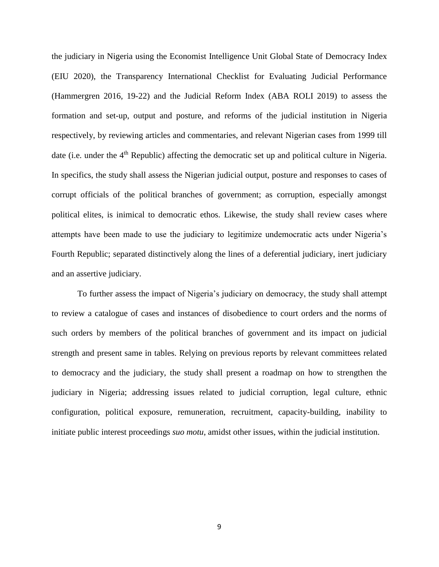the judiciary in Nigeria using the Economist Intelligence Unit Global State of Democracy Index (EIU 2020), the Transparency International Checklist for Evaluating Judicial Performance (Hammergren 2016, 19-22) and the Judicial Reform Index (ABA ROLI 2019) to assess the formation and set-up, output and posture, and reforms of the judicial institution in Nigeria respectively, by reviewing articles and commentaries, and relevant Nigerian cases from 1999 till date (i.e. under the 4<sup>th</sup> Republic) affecting the democratic set up and political culture in Nigeria. In specifics, the study shall assess the Nigerian judicial output, posture and responses to cases of corrupt officials of the political branches of government; as corruption, especially amongst political elites, is inimical to democratic ethos. Likewise, the study shall review cases where attempts have been made to use the judiciary to legitimize undemocratic acts under Nigeria's Fourth Republic; separated distinctively along the lines of a deferential judiciary, inert judiciary and an assertive judiciary.

To further assess the impact of Nigeria's judiciary on democracy, the study shall attempt to review a catalogue of cases and instances of disobedience to court orders and the norms of such orders by members of the political branches of government and its impact on judicial strength and present same in tables. Relying on previous reports by relevant committees related to democracy and the judiciary, the study shall present a roadmap on how to strengthen the judiciary in Nigeria; addressing issues related to judicial corruption, legal culture, ethnic configuration, political exposure, remuneration, recruitment, capacity-building, inability to initiate public interest proceedings *suo motu*, amidst other issues, within the judicial institution.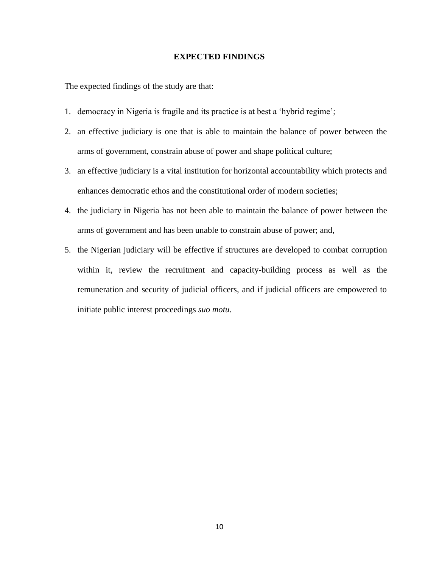## **EXPECTED FINDINGS**

The expected findings of the study are that:

- 1. democracy in Nigeria is fragile and its practice is at best a 'hybrid regime';
- 2. an effective judiciary is one that is able to maintain the balance of power between the arms of government, constrain abuse of power and shape political culture;
- 3. an effective judiciary is a vital institution for horizontal accountability which protects and enhances democratic ethos and the constitutional order of modern societies;
- 4. the judiciary in Nigeria has not been able to maintain the balance of power between the arms of government and has been unable to constrain abuse of power; and,
- 5. the Nigerian judiciary will be effective if structures are developed to combat corruption within it, review the recruitment and capacity-building process as well as the remuneration and security of judicial officers, and if judicial officers are empowered to initiate public interest proceedings *suo motu*.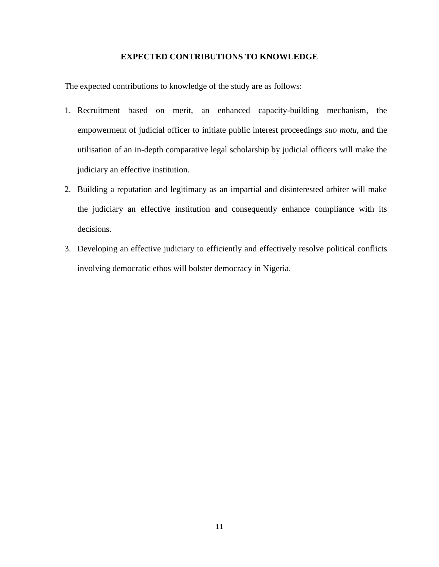## **EXPECTED CONTRIBUTIONS TO KNOWLEDGE**

The expected contributions to knowledge of the study are as follows:

- 1. Recruitment based on merit, an enhanced capacity-building mechanism, the empowerment of judicial officer to initiate public interest proceedings *suo motu*, and the utilisation of an in-depth comparative legal scholarship by judicial officers will make the judiciary an effective institution.
- 2. Building a reputation and legitimacy as an impartial and disinterested arbiter will make the judiciary an effective institution and consequently enhance compliance with its decisions.
- 3. Developing an effective judiciary to efficiently and effectively resolve political conflicts involving democratic ethos will bolster democracy in Nigeria.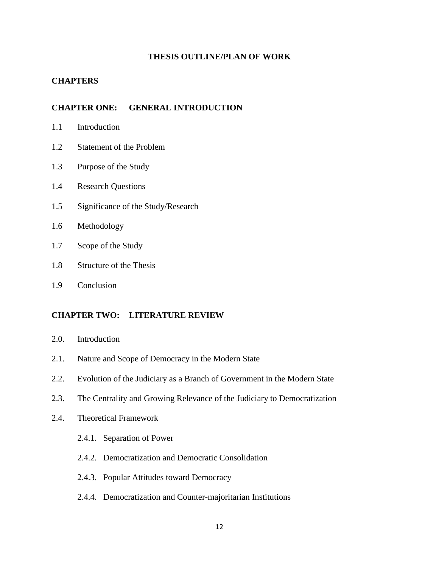## **THESIS OUTLINE/PLAN OF WORK**

## **CHAPTERS**

## **CHAPTER ONE: GENERAL INTRODUCTION**

- 1.1 Introduction
- 1.2 Statement of the Problem
- 1.3 Purpose of the Study
- 1.4 Research Questions
- 1.5 Significance of the Study/Research
- 1.6 Methodology
- 1.7 Scope of the Study
- 1.8 Structure of the Thesis
- 1.9 Conclusion

## **CHAPTER TWO: LITERATURE REVIEW**

- 2.0. Introduction
- 2.1. Nature and Scope of Democracy in the Modern State
- 2.2. Evolution of the Judiciary as a Branch of Government in the Modern State
- 2.3. The Centrality and Growing Relevance of the Judiciary to Democratization
- 2.4. Theoretical Framework
	- 2.4.1. Separation of Power
	- 2.4.2. Democratization and Democratic Consolidation
	- 2.4.3. Popular Attitudes toward Democracy
	- 2.4.4. Democratization and Counter-majoritarian Institutions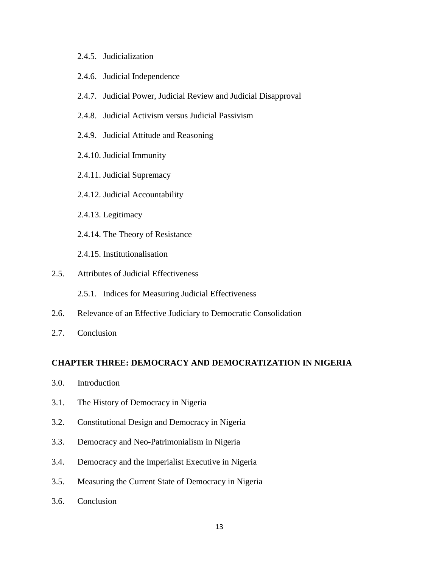## 2.4.5. Judicialization

- 2.4.6. Judicial Independence
- 2.4.7. Judicial Power, Judicial Review and Judicial Disapproval
- 2.4.8. Judicial Activism versus Judicial Passivism
- 2.4.9. Judicial Attitude and Reasoning
- 2.4.10. Judicial Immunity
- 2.4.11. Judicial Supremacy
- 2.4.12. Judicial Accountability
- 2.4.13. Legitimacy
- 2.4.14. The Theory of Resistance
- 2.4.15. Institutionalisation
- 2.5. Attributes of Judicial Effectiveness
	- 2.5.1. Indices for Measuring Judicial Effectiveness
- 2.6. Relevance of an Effective Judiciary to Democratic Consolidation
- 2.7. Conclusion

## **CHAPTER THREE: DEMOCRACY AND DEMOCRATIZATION IN NIGERIA**

- 3.0. Introduction
- 3.1. The History of Democracy in Nigeria
- 3.2. Constitutional Design and Democracy in Nigeria
- 3.3. Democracy and Neo-Patrimonialism in Nigeria
- 3.4. Democracy and the Imperialist Executive in Nigeria
- 3.5. Measuring the Current State of Democracy in Nigeria
- 3.6. Conclusion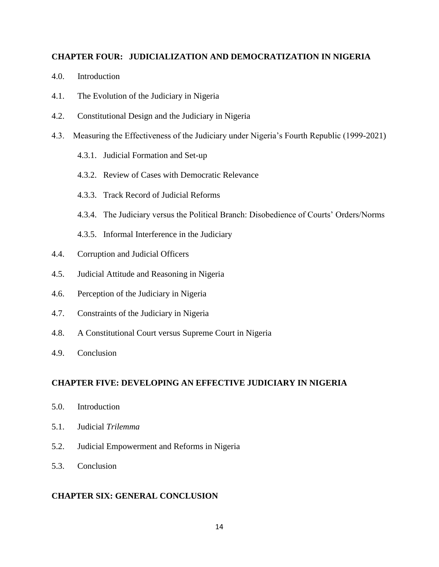## **CHAPTER FOUR: JUDICIALIZATION AND DEMOCRATIZATION IN NIGERIA**

- 4.0. Introduction
- 4.1. The Evolution of the Judiciary in Nigeria
- 4.2. Constitutional Design and the Judiciary in Nigeria
- 4.3. Measuring the Effectiveness of the Judiciary under Nigeria's Fourth Republic (1999-2021)
	- 4.3.1. Judicial Formation and Set-up
	- 4.3.2. Review of Cases with Democratic Relevance
	- 4.3.3. Track Record of Judicial Reforms
	- 4.3.4. The Judiciary versus the Political Branch: Disobedience of Courts' Orders/Norms
	- 4.3.5. Informal Interference in the Judiciary
- 4.4. Corruption and Judicial Officers
- 4.5. Judicial Attitude and Reasoning in Nigeria
- 4.6. Perception of the Judiciary in Nigeria
- 4.7. Constraints of the Judiciary in Nigeria
- 4.8. A Constitutional Court versus Supreme Court in Nigeria
- 4.9. Conclusion

## **CHAPTER FIVE: DEVELOPING AN EFFECTIVE JUDICIARY IN NIGERIA**

- 5.0. Introduction
- 5.1. Judicial *Trilemma*
- 5.2. Judicial Empowerment and Reforms in Nigeria
- 5.3. Conclusion

## **CHAPTER SIX: GENERAL CONCLUSION**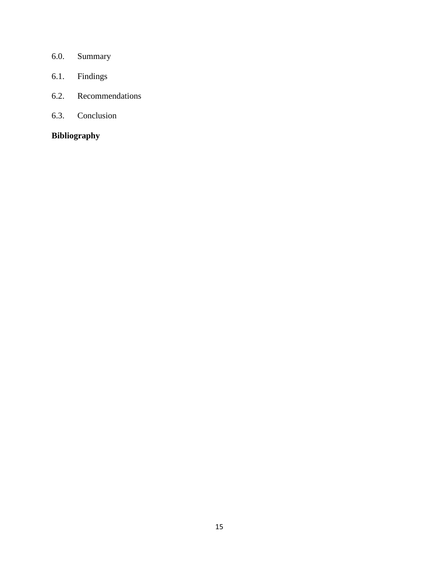- 6.0. Summary
- 6.1. Findings
- 6.2. Recommendations
- 6.3. Conclusion

# **Bibliography**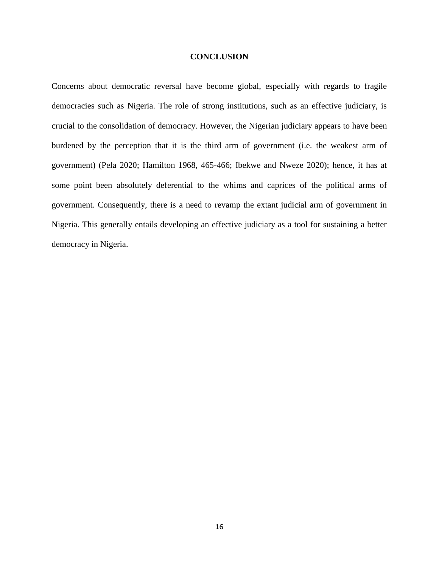#### **CONCLUSION**

Concerns about democratic reversal have become global, especially with regards to fragile democracies such as Nigeria. The role of strong institutions, such as an effective judiciary, is crucial to the consolidation of democracy. However, the Nigerian judiciary appears to have been burdened by the perception that it is the third arm of government (i.e. the weakest arm of government) (Pela 2020; Hamilton 1968, 465-466; Ibekwe and Nweze 2020); hence, it has at some point been absolutely deferential to the whims and caprices of the political arms of government. Consequently, there is a need to revamp the extant judicial arm of government in Nigeria. This generally entails developing an effective judiciary as a tool for sustaining a better democracy in Nigeria.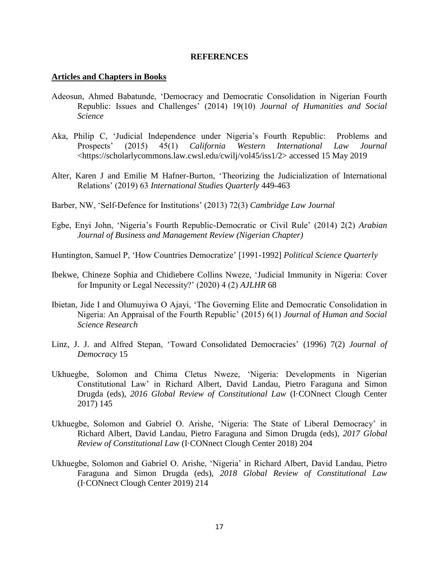#### **REFERENCES**

## **Articles and Chapters in Books**

- Adeosun, Ahmed Babatunde, 'Democracy and Democratic Consolidation in Nigerian Fourth Republic: Issues and Challenges' (2014) 19(10) *Journal of Humanities and Social Science*
- Aka, Philip C, 'Judicial Independence under Nigeria's Fourth Republic: Problems and Prospects' (2015) 45(1) *California Western International Law Journal*  <https://scholarlycommons.law.cwsl.edu/cwilj/vol45/iss1/2> accessed 15 May 2019
- Alter, Karen J and Emilie M Hafner-Burton, 'Theorizing the Judicialization of International Relations' (2019) 63 *International Studies Quarterly* 449-463
- Barber, NW, 'Self-Defence for Institutions' (2013) 72(3) *Cambridge Law Journal*
- Egbe, Enyi John, 'Nigeria's Fourth Republic-Democratic or Civil Rule' (2014) 2(2) *Arabian Journal of Business and Management Review (Nigerian Chapter)*
- Huntington, Samuel P, 'How Countries Democratize' [1991-1992] *Political Science Quarterly*
- Ibekwe, Chineze Sophia and Chidiebere Collins Nweze, 'Judicial Immunity in Nigeria: Cover for Impunity or Legal Necessity?' (2020) 4 (2) *AJLHR* 68
- Ibietan, Jide I and Olumuyiwa O Ajayi, 'The Governing Elite and Democratic Consolidation in Nigeria: An Appraisal of the Fourth Republic' (2015) 6(1) *Journal of Human and Social Science Research*
- Linz, J. J. and Alfred Stepan, 'Toward Consolidated Democracies' (1996) 7(2) *Journal of Democracy* 15
- Ukhuegbe, Solomon and Chima Cletus Nweze, 'Nigeria: Developments in Nigerian Constitutional Law' in Richard Albert, David Landau, Pietro Faraguna and Simon Drugda (eds), *2016 Global Review of Constitutional Law* (I·CONnect Clough Center 2017) 145
- Ukhuegbe, Solomon and Gabriel O. Arishe, 'Nigeria: The State of Liberal Democracy' in Richard Albert, David Landau, Pietro Faraguna and Simon Drugda (eds), *2017 Global Review of Constitutional Law* (I·CONnect Clough Center 2018) 204
- Ukhuegbe, Solomon and Gabriel O. Arishe, 'Nigeria' in Richard Albert, David Landau, Pietro Faraguna and Simon Drugda (eds), *2018 Global Review of Constitutional Law* (I·CONnect Clough Center 2019) 214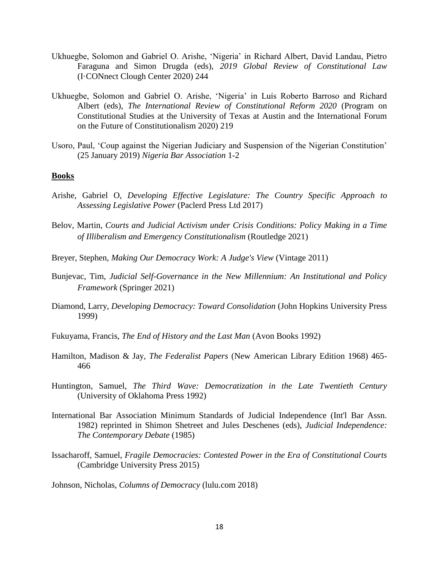- Ukhuegbe, Solomon and Gabriel O. Arishe, 'Nigeria' in Richard Albert, David Landau, Pietro Faraguna and Simon Drugda (eds), *2019 Global Review of Constitutional Law* (I·CONnect Clough Center 2020) 244
- Ukhuegbe, Solomon and Gabriel O. Arishe, 'Nigeria' in Luís Roberto Barroso and Richard Albert (eds), *The International Review of Constitutional Reform 2020* (Program on Constitutional Studies at the University of Texas at Austin and the International Forum on the Future of Constitutionalism 2020) 219
- Usoro, Paul, 'Coup against the Nigerian Judiciary and Suspension of the Nigerian Constitution' (25 January 2019) *Nigeria Bar Association* 1-2

#### **Books**

- Arishe, Gabriel O, *Developing Effective Legislature: The Country Specific Approach to Assessing Legislative Power* (Paclerd Press Ltd 2017)
- Belov, Martin, *Courts and Judicial Activism under Crisis Conditions: Policy Making in a Time of Illiberalism and Emergency Constitutionalism* (Routledge 2021)
- Breyer, Stephen, *Making Our Democracy Work: A Judge's View* (Vintage 2011)
- Bunjevac, Tim, *Judicial Self-Governance in the New Millennium: An Institutional and Policy Framework* (Springer 2021)
- Diamond, Larry, *Developing Democracy: Toward Consolidation* (John Hopkins University Press 1999)
- Fukuyama, Francis, *The End of History and the Last Man* (Avon Books 1992)
- Hamilton, Madison & Jay, *The Federalist Papers* (New American Library Edition 1968) 465- 466
- Huntington, Samuel, *The Third Wave: Democratization in the Late Twentieth Century* (University of Oklahoma Press 1992)
- International Bar Association Minimum Standards of Judicial Independence (Int'l Bar Assn. 1982) reprinted in Shimon Shetreet and Jules Deschenes (eds), *Judicial Independence: The Contemporary Debate* (1985)
- Issacharoff, Samuel, *Fragile Democracies: Contested Power in the Era of Constitutional Courts* (Cambridge University Press 2015)

Johnson, Nicholas, *Columns of Democracy* (lulu.com 2018)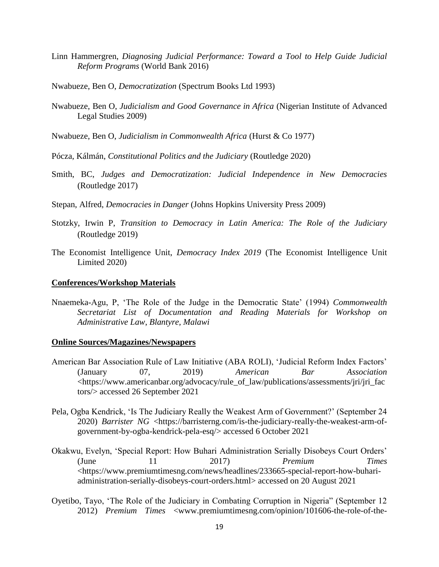- Linn Hammergren, *Diagnosing Judicial Performance: Toward a Tool to Help Guide Judicial Reform Programs* (World Bank 2016)
- Nwabueze, Ben O, *Democratization* (Spectrum Books Ltd 1993)
- Nwabueze, Ben O, *Judicialism and Good Governance in Africa* (Nigerian Institute of Advanced Legal Studies 2009)
- Nwabueze, Ben O, *Judicialism in Commonwealth Africa* (Hurst & Co 1977)

Pócza, Kálmán, *Constitutional Politics and the Judiciary* (Routledge 2020)

- Smith, BC, *Judges and Democratization: Judicial Independence in New Democracies* (Routledge 2017)
- Stepan, Alfred, *Democracies in Danger* (Johns Hopkins University Press 2009)
- Stotzky, Irwin P, *Transition to Democracy in Latin America: The Role of the Judiciary* (Routledge 2019)
- The Economist Intelligence Unit, *Democracy Index 2019* (The Economist Intelligence Unit Limited 2020)

#### **Conferences/Workshop Materials**

Nnaemeka-Agu, P, 'The Role of the Judge in the Democratic State' (1994) *Commonwealth Secretariat List of Documentation and Reading Materials for Workshop on Administrative Law*, *Blantyre, Malawi*

#### **Online Sources/Magazines/Newspapers**

- American Bar Association Rule of Law Initiative (ABA ROLI), 'Judicial Reform Index Factors' (January 07, 2019) *American Bar Association* <https://www.americanbar.org/advocacy/rule\_of\_law/publications/assessments/jri/jri\_fac tors/> accessed 26 September 2021
- Pela, Ogba Kendrick, 'Is The Judiciary Really the Weakest Arm of Government?' (September 24 2020) *Barrister NG* <https://barristerng.com/is-the-judiciary-really-the-weakest-arm-ofgovernment-by-ogba-kendrick-pela-esq/> accessed 6 October 2021
- Okakwu, Evelyn, 'Special Report: How Buhari Administration Serially Disobeys Court Orders' (June 11 2017) *Premium Times*  <https://www.premiumtimesng.com/news/headlines/233665-special-report-how-buhariadministration-serially-disobeys-court-orders.html> accessed on 20 August 2021
- Oyetibo, Tayo, 'The Role of the Judiciary in Combating Corruption in Nigeria" (September 12 2012) *Premium Times* <www.premiumtimesng.com/opinion/101606-the-role-of-the-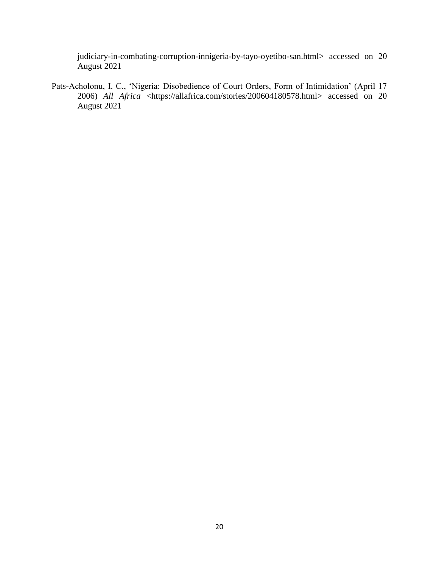judiciary-in-combating-corruption-innigeria-by-tayo-oyetibo-san.html> accessed on 20 August 2021

Pats-Acholonu, I. C., 'Nigeria: Disobedience of Court Orders, Form of Intimidation' (April 17 2006) *All Africa* <https://allafrica.com/stories/200604180578.html> accessed on 20 August 2021